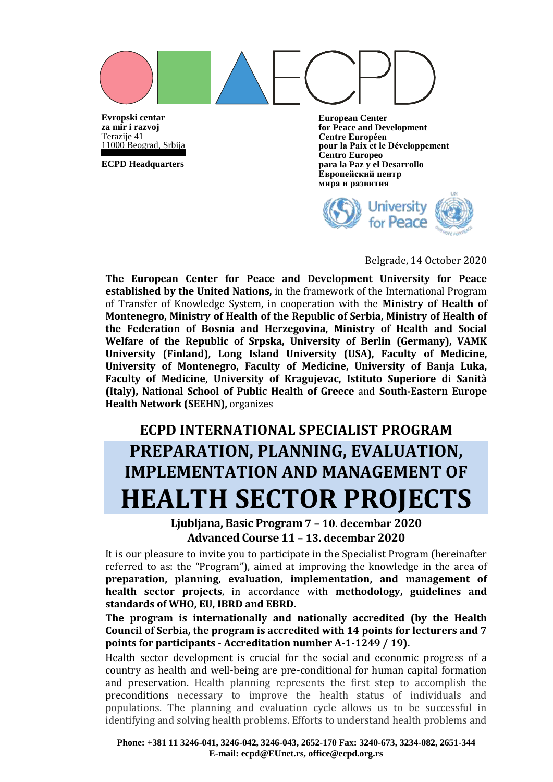

**Evropski centar za mir i razvoj** Terazije 41 11000 Beograd, Srbija

**ECPD Headquarters**

**European Center for Peace and Development Centre Européen pour la Paix et le Développement Centro Europeo para la Paz y el Desarrollo Европейский центр мира и развития**



#### Belgrade, 14 October 2020

**The European Center for Peace and Development University for Peace established by the United Nations,** in the framework of the International Program of Transfer of Knowledge System, in cooperation with the **Ministry of Health of Montenegro, Ministry of Health of the Republic of Serbia, Ministry of Health of the Federation of Bosnia and Herzegovina, Ministry of Health and Social Welfare of the Republic of Srpska, University of Berlin (Germany), VAMK University (Finland), Long Island University (USA), Faculty of Medicine, University of Montenegro, Faculty of Medicine, University of Banja Luka, Faculty of Medicine, University of Kragujevac, Istituto Superiore di Sanità (Italy), National School of Public Health of Greece** and **South-Eastern Europe Health Network (SEEHN),** organizes

## **ECPD INTERNATIONAL SPECIALIST PROGRAM PREPARATION, PLANNING, EVALUATION, IMPLEMENTATION AND MANAGEMENT OF HEALTH SECTOR PROJECTS**

**Ljubljana, Basic Program 7 – 10. decembar 2020 Advanced Course 11 – 13. decembar 2020**

It is our pleasure to invite you to participate in the Specialist Program (hereinafter referred to as: the "Program"), aimed at improving the knowledge in the area of **preparation, planning, evaluation, implementation, and management of health sector projects**, in accordance with **methodology, guidelines and standards of WHO, EU, IBRD and EBRD.**

**The program is internationally and nationally accredited (by the Health Council of Serbia, the program is accredited with 14 points for lecturers and 7 points for participants - Accreditation number A-1-1249 / 19).**

Health sector development is crucial for the social and economic progress of a country as health and well-being are pre-conditional for human capital formation and preservation. Health planning represents the first step to accomplish the preconditions necessary to improve the health status of individuals and populations. The planning and evaluation cycle allows us to be successful in identifying and solving health problems. Efforts to understand health problems and

**Phone: +381 11 3246-041, 3246-042, 3246-043, 2652-170 Fax: 3240-673, 3234-082, 2651-344 E-mail: ecpd@EUnet.rs, office@ecpd.org.rs**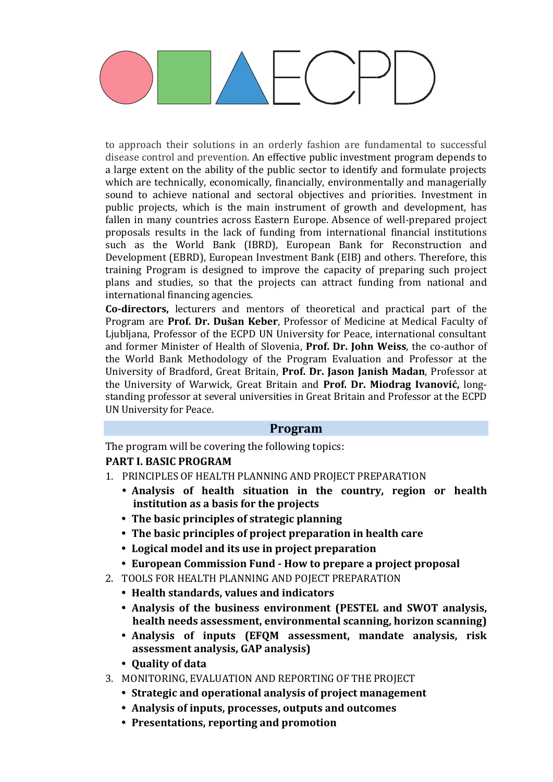to approach their solutions in an orderly fashion are fundamental to successful disease control and prevention. An effective public investment program depends to a large extent on the ability of the public sector to identify and formulate projects which are technically, economically, financially, environmentally and managerially sound to achieve national and sectoral objectives and priorities. Investment in public projects, which is the main instrument of growth and development, has fallen in many countries across Eastern Europe. Absence of well-prepared project proposals results in the lack of funding from international financial institutions such as the World Bank (IBRD), European Bank for Reconstruction and Development (EBRD), European Investment Bank (EIB) and others. Therefore, this training Program is designed to improve the capacity of preparing such project plans and studies, so that the projects can attract funding from national and international financing agencies.

**Co-directors,** lecturers and mentors of theoretical and practical part of the Program are **Prof. Dr. Dušan Keber**, Professor of Medicine at Medical Faculty of Ljubljana, Professor of the ECPD UN University for Peace, international consultant and former Minister of Health of Slovenia, **Prof. Dr. John Weiss**, the co-author of the World Bank Methodology of the Program Evaluation and Professor at the University of Bradford, Great Britain, **Prof. Dr. Jason Janish Madan**, Professor at the University of Warwick, Great Britain and **Prof. Dr. Miodrag Ivanović,** longstanding professor at several universities in Great Britain and Professor at the ECPD UN University for Peace.

#### **Program**

The program will be covering the following topics: **PART I. BASIC PROGRAM**

- 1. PRINCIPLES OF HEALTH PLANNING AND PROJECT PREPARATION
	- **Analysis of health situation in the country, region or health institution as a basis for the projects**
	- **The basic principles of strategic planning**
	- **The basic principles of project preparation in health care**
	- **Logical model and its use in project preparation**
	- **European Commission Fund - How to prepare a project proposal**
- 2. TOOLS FOR HEALTH PLANNING AND POJECT PREPARATION
	- **Health standards, values and indicators**
	- **Analysis of the business environment (PESTEL and SWOT analysis, health needs assessment, environmental scanning, horizon scanning)**
	- **Analysis of inputs (EFQM assessment, mandate analysis, risk assessment analysis, GAP analysis)**
	- **Quality of data**
- 3. MONITORING, EVALUATION AND REPORTING OF THE PROJECT
	- **Strategic and operational analysis of project management**
	- **Analysis of inputs, processes, outputs and outcomes**
	- **Presentations, reporting and promotion**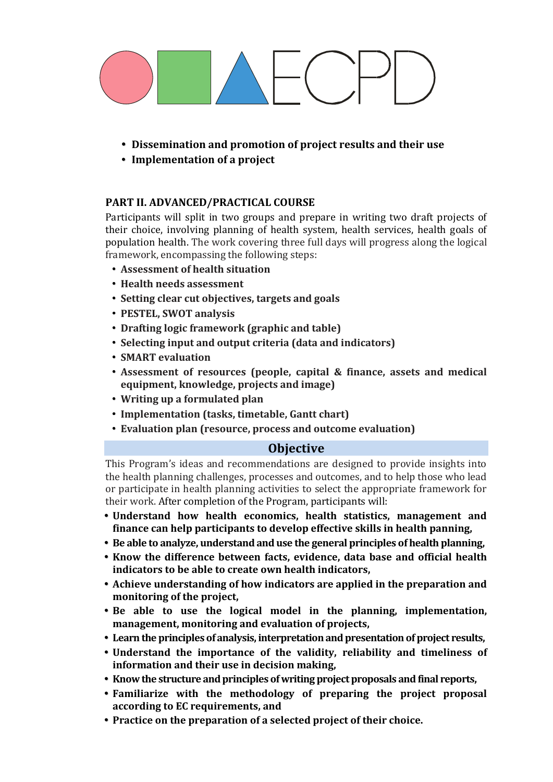

- **Dissemination and promotion of project results and their use**
- **Implementation of a project**

#### **PART II. ADVANCED/PRACTICAL COURSE**

Participants will split in two groups and prepare in writing two draft projects of their choice, involving planning of health system, health services, health goals of population health. The work covering three full days will progress along the logical framework, encompassing the following steps:

- **Assessment of health situation**
- **Health needs assessment**
- **Setting clear cut objectives, targets and goals**
- **PESTEL, SWOT analysis**
- **Drafting logic framework (graphic and table)**
- **Selecting input and output criteria (data and indicators)**
- **SMART evaluation**
- **Assessment of resources (people, capital & finance, assets and medical equipment, knowledge, projects and image)**
- **Writing up a formulated plan**
- **Implementation (tasks, timetable, Gantt chart)**
- **Evaluation plan (resource, process and outcome evaluation)**

### **Objective**

This Program's ideas and recommendations are designed to provide insights into the health planning challenges, processes and outcomes, and to help those who lead or participate in health planning activities to select the appropriate framework for their work. After completion of the Program, participants will:

- **Understand how health economics, health statistics, management and finance can help participants to develop effective skills in health panning,**
- **Be able to analyze, understand and use the general principles of health planning,**
- **Know the difference between facts, evidence, data base and official health indicators to be able to create own health indicators,**
- **Achieve understanding of how indicators are applied in the preparation and monitoring of the project,**
- **Be able to use the logical model in the planning, implementation, management, monitoring and evaluation of projects,**
- **Learn the principles of analysis, interpretation and presentation of project results,**
- **Understand the importance of the validity, reliability and timeliness of information and their use in decision making,**
- **Know the structure and principles of writing project proposals and final reports,**
- **Familiarize with the methodology of preparing the project proposal according to EC requirements, and**
- **Practice on the preparation of a selected project of their choice.**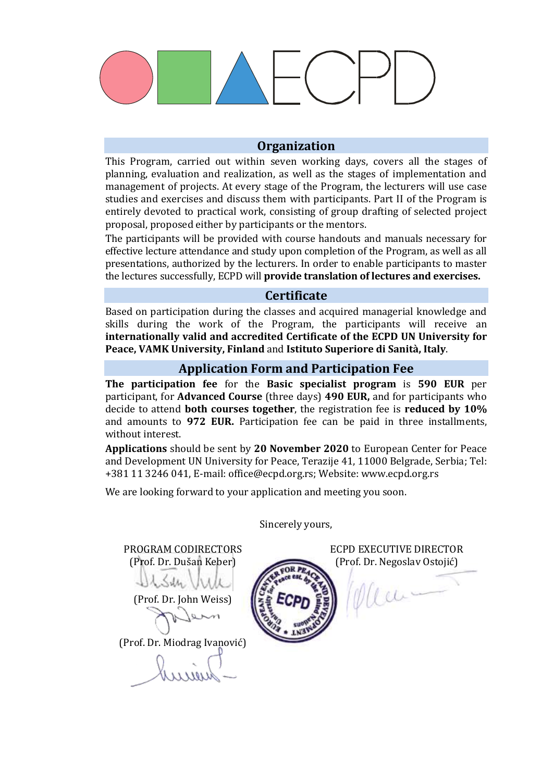

#### **Organization**

This Program, carried out within seven working days, covers all the stages of planning, evaluation and realization, as well as the stages of implementation and management of projects. At every stage of the Program, the lecturers will use case studies and exercises and discuss them with participants. Part II of the Program is entirely devoted to practical work, consisting of group drafting of selected project proposal, proposed either by participants or the mentors.

The participants will be provided with course handouts and manuals necessary for effective lecture attendance and study upon completion of the Program, as well as all presentations, authorized by the lecturers. In order to enable participants to master the lectures successfully, ECPD will **provide translation of lectures and exercises.**

#### **Certificate**

Based on participation during the classes and acquired managerial knowledge and skills during the work of the Program, the participants will receive an **internationally valid and accredited Certificate of the ECPD UN University for Peace, VAMK University, Finland** and **Istituto Superiore di Sanità, Italy**.

#### **Application Form and Participation Fee**

**The participation fee** for the **Basic specialist program** is **590 EUR** per participant, for **Advanced Course** (three days) **490 EUR,** and for participants who decide to attend **both courses together**, the registration fee is **reduced by 10%** and amounts to **972 EUR.** Participation fee can be paid in three installments, without interest.

**Applications** should be sent by **20 November 2020** to European Center for Peace and Development UN University for Peace, Terazije 41, 11000 Belgrade, Serbia; Тel: +381 11 3246 041, E-mail: [office@ecpd.org.rs;](mailto:office@ecpd.org.rs) Website: [www.ecpd.org.rs](http://www.ecpd.org.rs/)

We are looking forward to your application and meeting you soon.

PROGRAM CODIRECTORS ECPD EXECUTIVE DIRECTOR (Prof. Dr. Dušan Keber) (Prof. Dr. Negoslav Ostojić) Mai-(Prof. Dr. John Weiss) (Prof. Dr. Miodrag Ivanović)

Sincerely yours,